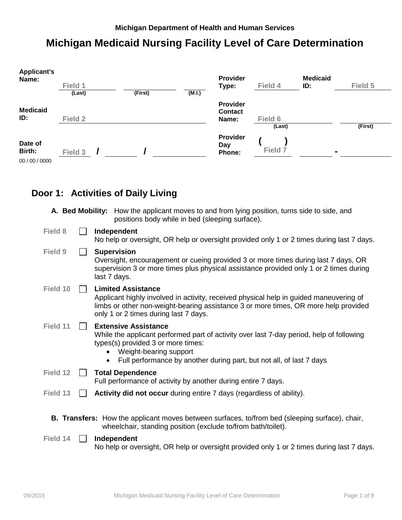## **Michigan Medicaid Nursing Facility Level of Care Determination**

| <b>Applicant's</b><br>Name: | Field 1 |         |        | Provider<br>Type:          | Field 4 | <b>Medicaid</b><br>ID: | Field 5 |
|-----------------------------|---------|---------|--------|----------------------------|---------|------------------------|---------|
|                             | (Last)  | (First) | (M.I.) |                            |         |                        |         |
| <b>Medicaid</b>             |         |         |        | Provider<br><b>Contact</b> |         |                        |         |
| ID:                         | Field 2 |         |        | Name:                      | Field 6 |                        |         |
|                             |         |         |        |                            | (Last)  |                        | (First) |
| Date of<br>Birth:           | Field 3 |         |        | Provider<br>Day<br>Phone:  | Field 7 | $\blacksquare$         |         |
| 00 / 00 / 0000              |         |         |        |                            |         |                        |         |

# **Door 1: Activities of Daily Living**

|          | A. Bed Mobility: How the applicant moves to and from lying position, turns side to side, and<br>positions body while in bed (sleeping surface).                                                                                                                 |
|----------|-----------------------------------------------------------------------------------------------------------------------------------------------------------------------------------------------------------------------------------------------------------------|
| Field 8  | Independent<br>No help or oversight, OR help or oversight provided only 1 or 2 times during last 7 days.                                                                                                                                                        |
| Field 9  | <b>Supervision</b><br>Oversight, encouragement or cueing provided 3 or more times during last 7 days, OR<br>supervision 3 or more times plus physical assistance provided only 1 or 2 times during<br>last 7 days.                                              |
| Field 10 | <b>Limited Assistance</b><br>Applicant highly involved in activity, received physical help in guided maneuvering of<br>limbs or other non-weight-bearing assistance 3 or more times, OR more help provided<br>only 1 or 2 times during last 7 days.             |
| Field 11 | <b>Extensive Assistance</b><br>While the applicant performed part of activity over last 7-day period, help of following<br>types(s) provided 3 or more times:<br>Weight-bearing support<br>Full performance by another during part, but not all, of last 7 days |
| Field 12 | <b>Total Dependence</b><br>Full performance of activity by another during entire 7 days.                                                                                                                                                                        |
| Field 13 | Activity did not occur during entire 7 days (regardless of ability).                                                                                                                                                                                            |
|          | <b>B. Transfers:</b> How the applicant moves between surfaces, to/from bed (sleeping surface), chair,<br>wheelchair, standing position (exclude to/from bath/toilet).                                                                                           |
| Field 14 | Independent<br>No help or oversight, OR help or oversight provided only 1 or 2 times during last 7 days.                                                                                                                                                        |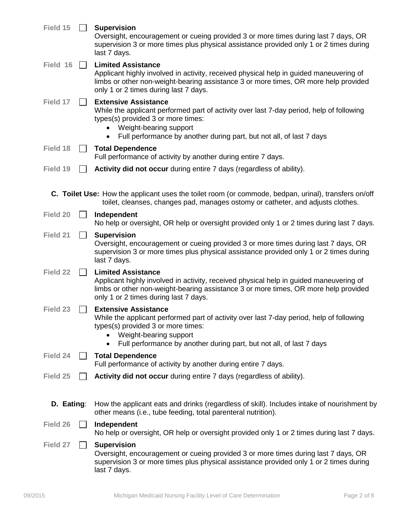| Field 15   | <b>Supervision</b><br>Oversight, encouragement or cueing provided 3 or more times during last 7 days, OR<br>supervision 3 or more times plus physical assistance provided only 1 or 2 times during<br>last 7 days.                                                           |
|------------|------------------------------------------------------------------------------------------------------------------------------------------------------------------------------------------------------------------------------------------------------------------------------|
| Field 16   | <b>Limited Assistance</b><br>Applicant highly involved in activity, received physical help in guided maneuvering of<br>limbs or other non-weight-bearing assistance 3 or more times, OR more help provided<br>only 1 or 2 times during last 7 days.                          |
| Field 17   | <b>Extensive Assistance</b><br>While the applicant performed part of activity over last 7-day period, help of following<br>types(s) provided 3 or more times:<br>Weight-bearing support<br>Full performance by another during part, but not all, of last 7 days              |
| Field 18   | <b>Total Dependence</b><br>Full performance of activity by another during entire 7 days.                                                                                                                                                                                     |
| Field 19   | Activity did not occur during entire 7 days (regardless of ability).                                                                                                                                                                                                         |
|            | C. Toilet Use: How the applicant uses the toilet room (or commode, bedpan, urinal), transfers on/off<br>toilet, cleanses, changes pad, manages ostomy or catheter, and adjusts clothes.                                                                                      |
| Field 20   | Independent<br>No help or oversight, OR help or oversight provided only 1 or 2 times during last 7 days.                                                                                                                                                                     |
| Field 21   | <b>Supervision</b><br>Oversight, encouragement or cueing provided 3 or more times during last 7 days, OR<br>supervision 3 or more times plus physical assistance provided only 1 or 2 times during<br>last 7 days.                                                           |
| Field 22   | <b>Limited Assistance</b><br>Applicant highly involved in activity, received physical help in guided maneuvering of<br>limbs or other non-weight-bearing assistance 3 or more times, OR more help provided<br>only 1 or 2 times during last 7 days.                          |
| Field 23   | <b>Extensive Assistance</b><br>While the applicant performed part of activity over last 7-day period, help of following<br>types(s) provided 3 or more times:<br>Weight-bearing support<br>Full performance by another during part, but not all, of last 7 days<br>$\bullet$ |
| Field 24   | <b>Total Dependence</b><br>Full performance of activity by another during entire 7 days.                                                                                                                                                                                     |
| Field 25   | Activity did not occur during entire 7 days (regardless of ability).                                                                                                                                                                                                         |
| D. Eating: | How the applicant eats and drinks (regardless of skill). Includes intake of nourishment by<br>other means (i.e., tube feeding, total parenteral nutrition).                                                                                                                  |
| Field 26   | Independent<br>No help or oversight, OR help or oversight provided only 1 or 2 times during last 7 days.                                                                                                                                                                     |
| Field 27   | <b>Supervision</b><br>Oversight, encouragement or cueing provided 3 or more times during last 7 days, OR<br>supervision 3 or more times plus physical assistance provided only 1 or 2 times during<br>last 7 days.                                                           |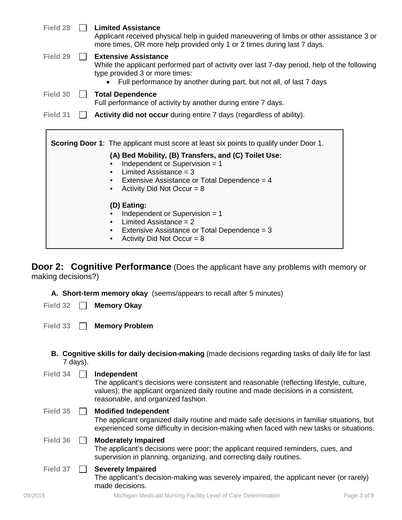| Field 28 |              | <b>Limited Assistance</b><br>Applicant received physical help in guided maneuvering of limbs or other assistance 3 or<br>more times, OR more help provided only 1 or 2 times during last 7 days.                                      |  |  |  |  |  |
|----------|--------------|---------------------------------------------------------------------------------------------------------------------------------------------------------------------------------------------------------------------------------------|--|--|--|--|--|
| Field 29 |              | <b>Extensive Assistance</b><br>While the applicant performed part of activity over last 7-day period, help of the following<br>type provided 3 or more times:<br>Full performance by another during part, but not all, of last 7 days |  |  |  |  |  |
| Field 30 |              | <b>Total Dependence</b><br>Full performance of activity by another during entire 7 days.                                                                                                                                              |  |  |  |  |  |
|          |              |                                                                                                                                                                                                                                       |  |  |  |  |  |
| Field 31 | $\mathbf{I}$ | Activity did not occur during entire 7 days (regardless of ability).<br><b>Scoring Door 1:</b> The applicant must score at least six points to qualify under Door 1.                                                                  |  |  |  |  |  |
|          |              | (A) Bed Mobility, (B) Transfers, and (C) Toilet Use:<br>Independent or Supervision $= 1$<br>Limited Assistance = $3$<br>Extensive Assistance or Total Dependence = 4<br>$\bullet$<br>Activity Did Not Occur = $8$                     |  |  |  |  |  |
|          |              | (D) Eating:                                                                                                                                                                                                                           |  |  |  |  |  |
|          |              | Independent or Supervision $= 1$<br>Limited Assistance = $2$<br>$\bullet$                                                                                                                                                             |  |  |  |  |  |

making decisions?)

**A. Short-term memory okay** (seems/appears to recall after 5 minutes)

**Field 32 Memory Okay**

**Field 33 Memory Problem**

**B. Cognitive skills for daily decision-making** (made decisions regarding tasks of daily life for last 7 days).

| Field 34 | Independent<br>The applicant's decisions were consistent and reasonable (reflecting lifestyle, culture,<br>values); the applicant organized daily routine and made decisions in a consistent,<br>reasonable, and organized fashion. |
|----------|-------------------------------------------------------------------------------------------------------------------------------------------------------------------------------------------------------------------------------------|
| Field 35 | <b>Modified Independent</b><br>The applicant organized daily routine and made safe decisions in familiar situations, but<br>experienced some difficulty in decision-making when faced with new tasks or situations.                 |
| Field 36 | <b>Moderately Impaired</b><br>The applicant's decisions were poor; the applicant required reminders, cues, and<br>supervision in planning, organizing, and correcting daily routines.                                               |
| Field 37 | <b>Severely Impaired</b><br>The applicant's decision-making was severely impaired, the applicant never (or rarely)<br>made decisions.                                                                                               |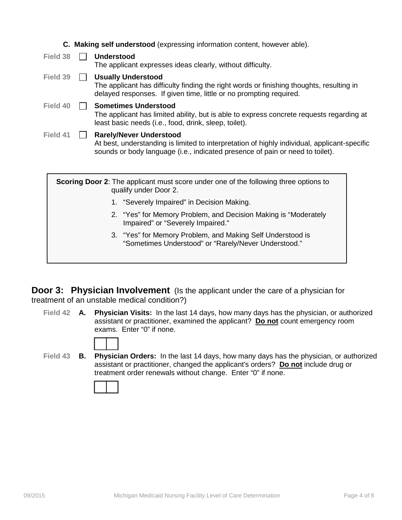|          | <b>C. Making self understood</b> (expressing information content, however able).                                                                                                                                |
|----------|-----------------------------------------------------------------------------------------------------------------------------------------------------------------------------------------------------------------|
| Field 38 | <b>Understood</b><br>The applicant expresses ideas clearly, without difficulty.                                                                                                                                 |
| Field 39 | <b>Usually Understood</b><br>The applicant has difficulty finding the right words or finishing thoughts, resulting in<br>delayed responses. If given time, little or no prompting required.                     |
| Field 40 | <b>Sometimes Understood</b><br>The applicant has limited ability, but is able to express concrete requests regarding at<br>least basic needs (i.e., food, drink, sleep, toilet).                                |
| Field 41 | <b>Rarely/Never Understood</b><br>At best, understanding is limited to interpretation of highly individual, applicant-specific<br>sounds or body language (i.e., indicated presence of pain or need to toilet). |
|          | <b>Scoring Door 2:</b> The applicant must score under one of the following three options to<br>qualify under Door 2.                                                                                            |
|          | 1. "Severely Impaired" in Decision Making.                                                                                                                                                                      |
|          | 2. "Yes" for Memory Problem, and Decision Making is "Moderately<br>Impaired" or "Severely Impaired."                                                                                                            |
|          | 3. "Yes" for Memory Problem, and Making Self Understood is<br>"Sometimes Understood" or "Rarely/Never Understood."                                                                                              |

**Door 3: Physician Involvement** (Is the applicant under the care of a physician for treatment of an unstable medical condition?)

**Field 42 A. Physician Visits:** In the last 14 days, how many days has the physician, or authorized assistant or practitioner, examined the applicant? **Do not** count emergency room exams. Enter "0" if none.

**Field 43 B. Physician Orders:** In the last 14 days, how many days has the physician, or authorized assistant or practitioner, changed the applicant's orders? **Do not** include drug or treatment order renewals without change. Enter "0" if none.

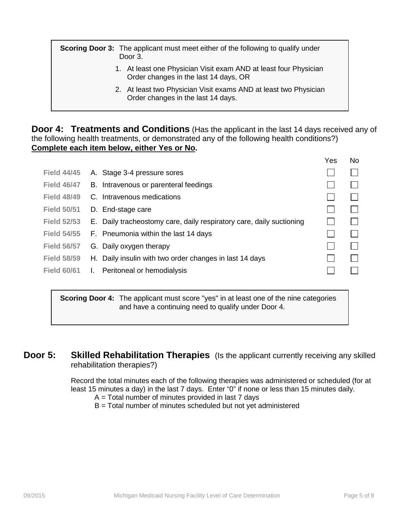**Scoring Door 3:** The applicant must meet either of the following to qualify under Door 3.

- 1. At least one Physician Visit exam AND at least four Physician Order changes in the last 14 days, OR
- 2. At least two Physician Visit exams AND at least two Physician Order changes in the last 14 days.

**Door 4: Treatments and Conditions** (Has the applicant in the last 14 days received any of the following health treatments, or demonstrated any of the following health conditions?) **Complete each item below, either Yes or No.**

|                    |      |                                                                      | Yes          | No     |
|--------------------|------|----------------------------------------------------------------------|--------------|--------|
| <b>Field 44/45</b> |      | A. Stage 3-4 pressure sores                                          |              |        |
| <b>Field 46/47</b> |      | B. Intravenous or parenteral feedings                                |              |        |
| <b>Field 48/49</b> |      | C. Intravenous medications                                           |              |        |
| <b>Field 50/51</b> |      | D. End-stage care                                                    | $\mathbf{L}$ | $\Box$ |
| <b>Field 52/53</b> |      | E. Daily tracheostomy care, daily respiratory care, daily suctioning |              |        |
| <b>Field 54/55</b> |      | F. Pneumonia within the last 14 days                                 |              |        |
| <b>Field 56/57</b> |      | G. Daily oxygen therapy                                              | L            | $\Box$ |
| <b>Field 58/59</b> |      | H. Daily insulin with two order changes in last 14 days              |              |        |
| <b>Field 60/61</b> | - I. | Peritoneal or hemodialysis                                           |              |        |
|                    |      |                                                                      |              |        |

**Scoring Door 4:** The applicant must score "yes" in at least one of the nine categories and have a continuing need to qualify under Door 4.

**Door 5:** Skilled Rehabilitation Therapies (Is the applicant currently receiving any skilled rehabilitation therapies?)

> Record the total minutes each of the following therapies was administered or scheduled (for at least 15 minutes a day) in the last 7 days. Enter "0" if none or less than 15 minutes daily.

- $A = Total number of minutes provided in last 7 days$
- B = Total number of minutes scheduled but not yet administered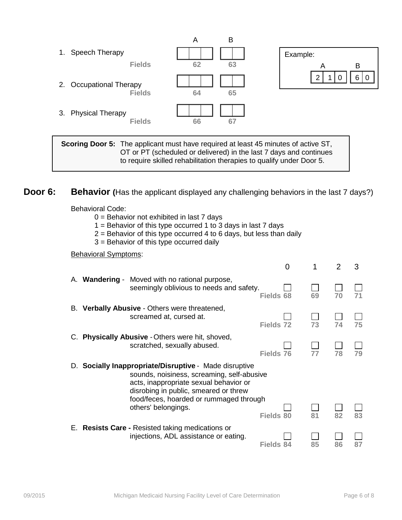

**Scoring Door 5:** The applicant must have required at least 45 minutes of active ST, OT or PT (scheduled or delivered) in the last 7 days and continues to require skilled rehabilitation therapies to qualify under Door 5.

### **Door 6: Behavior** (Has the applicant displayed any challenging behaviors in the last 7 days?)

Behavioral Code:

- 0 = Behavior not exhibited in last 7 days
- 1 = Behavior of this type occurred 1 to 3 days in last 7 days
- $2$  = Behavior of this type occurred 4 to 6 days, but less than daily
- 3 = Behavior of this type occurred daily

#### Behavioral Symptoms:

|                                                                                                                                                                                                                                                           | 0                |    | 2  | 3  |
|-----------------------------------------------------------------------------------------------------------------------------------------------------------------------------------------------------------------------------------------------------------|------------------|----|----|----|
| A. Wandering - Moved with no rational purpose,<br>seemingly oblivious to needs and safety.                                                                                                                                                                | Fields 68        | 69 | 70 | 71 |
| B. Verbally Abusive - Others were threatened,<br>screamed at, cursed at.                                                                                                                                                                                  | Fields 72        | 73 | 74 | 75 |
| C. Physically Abusive - Others were hit, shoved,<br>scratched, sexually abused.                                                                                                                                                                           | Fields 76        | 77 | 78 | 79 |
| D. Socially Inappropriate/Disruptive - Made disruptive<br>sounds, noisiness, screaming, self-abusive<br>acts, inappropriate sexual behavior or<br>disrobing in public, smeared or threw<br>food/feces, hoarded or rummaged through<br>others' belongings. | <b>Fields 80</b> | 81 | 82 | 83 |
| E. Resists Care - Resisted taking medications or<br>injections, ADL assistance or eating.                                                                                                                                                                 | Fields 84        | 85 | 86 |    |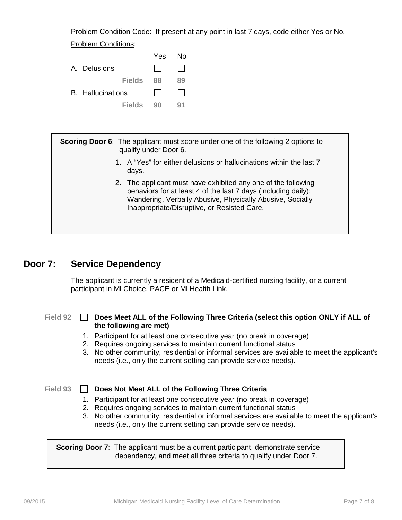Problem Condition Code: If present at any point in last 7 days, code either Yes or No. Problem Conditions:

|                          |               | Yes. | N٥ |
|--------------------------|---------------|------|----|
| A. Delusions             |               |      |    |
|                          | <b>Fields</b> | 88   | 89 |
| <b>B.</b> Hallucinations |               |      |    |
|                          | <b>Fields</b> | 90   | 91 |

**Scoring Door 6**: The applicant must score under one of the following 2 options to qualify under Door 6.

- 1. A "Yes" for either delusions or hallucinations within the last 7 days.
- 2. The applicant must have exhibited any one of the following behaviors for at least 4 of the last 7 days (including daily): Wandering, Verbally Abusive, Physically Abusive, Socially Inappropriate/Disruptive, or Resisted Care.

### **Door 7: Service Dependency**

The applicant is currently a resident of a Medicaid-certified nursing facility, or a current participant in Ml Choice, PACE or Ml Health Link.

#### **Field 92 Does Meet ALL of the Following Three Criteria (select this option ONLY if ALL of the following are met)**

- 1. Participant for at least one consecutive year (no break in coverage)
- 2. Requires ongoing services to maintain current functional status
- 3. No other community, residential or informal services are available to meet the applicant's needs (i.e., only the current setting can provide service needs).

**Field 93 Does Not Meet ALL of the Following Three Criteria**

- 1. Participant for at least one consecutive year (no break in coverage)
- 2. Requires ongoing services to maintain current functional status
- 3. No other community, residential or informal services are available to meet the applicant's needs (i.e., only the current setting can provide service needs).

**Scoring Door 7:** The applicant must be a current participant, demonstrate service dependency, and meet all three criteria to qualify under Door 7.